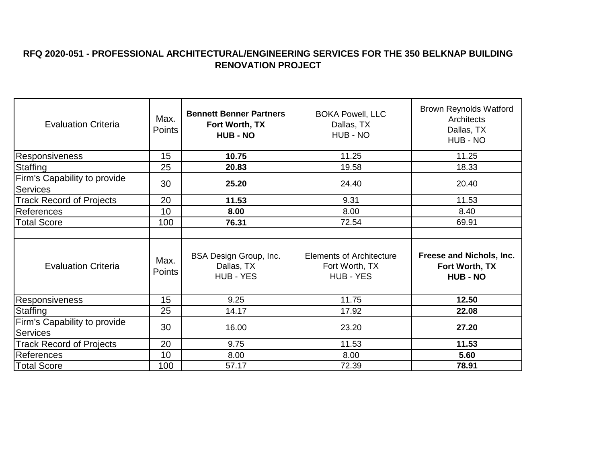## **RFQ 2020-051 - PROFESSIONAL ARCHITECTURAL/ENGINEERING SERVICES FOR THE 350 BELKNAP BUILDING RENOVATION PROJECT**

| <b>Evaluation Criteria</b>                      | Max.<br>Points | <b>Bennett Benner Partners</b><br>Fort Worth, TX<br><b>HUB - NO</b> | <b>BOKA Powell, LLC</b><br>Dallas, TX<br>HUB - NO                     | <b>Brown Reynolds Watford</b><br>Architects<br>Dallas, TX<br>HUB - NO |
|-------------------------------------------------|----------------|---------------------------------------------------------------------|-----------------------------------------------------------------------|-----------------------------------------------------------------------|
| Responsiveness                                  | 15             | 10.75                                                               | 11.25                                                                 | 11.25                                                                 |
| Staffing                                        | 25             | 20.83                                                               | 19.58                                                                 | 18.33                                                                 |
| Firm's Capability to provide<br><b>Services</b> | 30             | 25.20                                                               | 24.40                                                                 | 20.40                                                                 |
| <b>Track Record of Projects</b>                 | 20             | 11.53                                                               | 9.31                                                                  | 11.53                                                                 |
| <b>References</b>                               | 10             | 8.00                                                                | 8.00                                                                  | 8.40                                                                  |
| <b>Total Score</b>                              | 100            | 76.31                                                               | 72.54                                                                 | 69.91                                                                 |
|                                                 |                |                                                                     |                                                                       |                                                                       |
| <b>Evaluation Criteria</b>                      | Max.<br>Points | BSA Design Group, Inc.<br>Dallas, TX<br>HUB - YES                   | <b>Elements of Architecture</b><br>Fort Worth, TX<br><b>HUB - YES</b> | Freese and Nichols, Inc.<br>Fort Worth, TX<br><b>HUB - NO</b>         |
| <b>Responsiveness</b>                           | 15             | 9.25                                                                | 11.75                                                                 | 12.50                                                                 |
| Staffing                                        | 25             | 14.17                                                               | 17.92                                                                 | 22.08                                                                 |
| Firm's Capability to provide<br><b>Services</b> | 30             | 16.00                                                               | 23.20                                                                 | 27.20                                                                 |
| <b>Track Record of Projects</b>                 | 20             | 9.75                                                                | 11.53                                                                 | 11.53                                                                 |
| <b>References</b>                               | 10             | 8.00                                                                | 8.00                                                                  | 5.60                                                                  |
| <b>Total Score</b>                              | 100            | 57.17                                                               | 72.39                                                                 | 78.91                                                                 |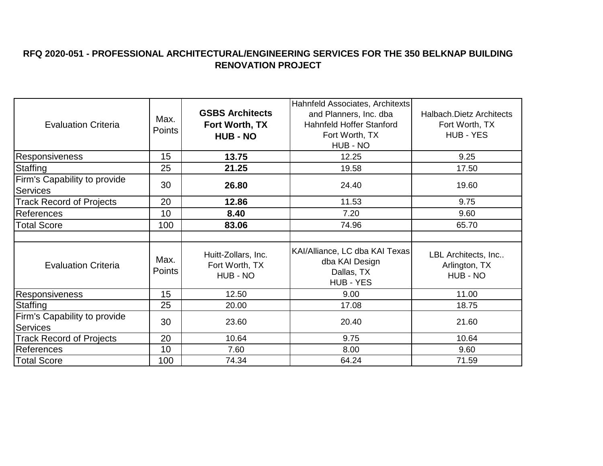## **RFQ 2020-051 - PROFESSIONAL ARCHITECTURAL/ENGINEERING SERVICES FOR THE 350 BELKNAP BUILDING RENOVATION PROJECT**

| <b>Evaluation Criteria</b>                      | Max.<br>Points | <b>GSBS Architects</b><br>Fort Worth, TX<br><b>HUB - NO</b> | Hahnfeld Associates, Architexts<br>and Planners, Inc. dba<br>Hahnfeld Hoffer Stanford<br>Fort Worth, TX<br>HUB - NO | Halbach.Dietz Architects<br>Fort Worth, TX<br>HUB - YES |
|-------------------------------------------------|----------------|-------------------------------------------------------------|---------------------------------------------------------------------------------------------------------------------|---------------------------------------------------------|
| <b>Responsiveness</b>                           | 15             | 13.75                                                       | 12.25                                                                                                               | 9.25                                                    |
| Staffing                                        | 25             | 21.25                                                       | 19.58                                                                                                               | 17.50                                                   |
| Firm's Capability to provide<br><b>Services</b> | 30             | 26.80                                                       | 24.40                                                                                                               | 19.60                                                   |
| <b>Track Record of Projects</b>                 | 20             | 12.86                                                       | 11.53                                                                                                               | 9.75                                                    |
| References                                      | 10             | 8.40                                                        | 7.20                                                                                                                | 9.60                                                    |
| <b>Total Score</b>                              | 100            | 83.06                                                       | 74.96                                                                                                               | 65.70                                                   |
|                                                 |                |                                                             |                                                                                                                     |                                                         |
| <b>Evaluation Criteria</b>                      | Max.<br>Points | Huitt-Zollars, Inc.<br>Fort Worth, TX<br>HUB - NO           | KAI/Alliance, LC dba KAI Texas<br>dba KAI Design<br>Dallas, TX<br>HUB - YES                                         | LBL Architects, Inc<br>Arlington, TX<br>HUB - NO        |
| Responsiveness                                  | 15             | 12.50                                                       | 9.00                                                                                                                | 11.00                                                   |
| Staffing                                        | 25             | 20.00                                                       | 17.08                                                                                                               | 18.75                                                   |
| Firm's Capability to provide<br>Services        | 30             | 23.60                                                       | 20.40                                                                                                               | 21.60                                                   |
| <b>Track Record of Projects</b>                 | 20             | 10.64                                                       | 9.75                                                                                                                | 10.64                                                   |
| <b>References</b>                               | 10             | 7.60                                                        | 8.00                                                                                                                | 9.60                                                    |
| <b>Total Score</b>                              | 100            | 74.34                                                       | 64.24                                                                                                               | 71.59                                                   |